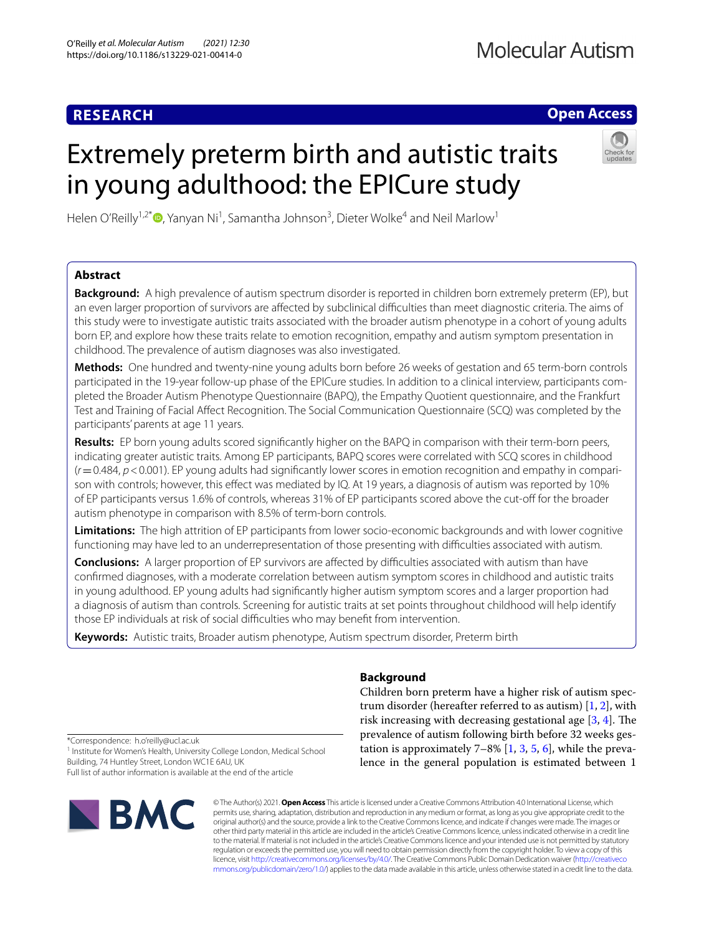# **RESEARCH**

## **Open Access**

# Extremely preterm birth and autistic traits in young adulthood: the EPICure study



Helen O'Reilly<sup>1,2\*</sup> (D[,](http://orcid.org/0000-0002-0216-5234) Yanyan Ni<sup>1</sup>, Samantha Johnson<sup>3</sup>, Dieter Wolke<sup>4</sup> and Neil Marlow<sup>1</sup>

## **Abstract**

**Background:** A high prevalence of autism spectrum disorder is reported in children born extremely preterm (EP), but an even larger proportion of survivors are affected by subclinical difficulties than meet diagnostic criteria. The aims of this study were to investigate autistic traits associated with the broader autism phenotype in a cohort of young adults born EP, and explore how these traits relate to emotion recognition, empathy and autism symptom presentation in childhood. The prevalence of autism diagnoses was also investigated.

**Methods:** One hundred and twenty-nine young adults born before 26 weeks of gestation and 65 term-born controls participated in the 19-year follow-up phase of the EPICure studies. In addition to a clinical interview, participants completed the Broader Autism Phenotype Questionnaire (BAPQ), the Empathy Quotient questionnaire, and the Frankfurt Test and Training of Facial Afect Recognition. The Social Communication Questionnaire (SCQ) was completed by the participants' parents at age 11 years.

**Results:** EP born young adults scored signifcantly higher on the BAPQ in comparison with their term-born peers, indicating greater autistic traits. Among EP participants, BAPQ scores were correlated with SCQ scores in childhood (*r*=0.484, *p*<0.001). EP young adults had signifcantly lower scores in emotion recognition and empathy in comparison with controls; however, this efect was mediated by IQ. At 19 years, a diagnosis of autism was reported by 10% of EP participants versus 1.6% of controls, whereas 31% of EP participants scored above the cut-off for the broader autism phenotype in comparison with 8.5% of term-born controls.

**Limitations:** The high attrition of EP participants from lower socio-economic backgrounds and with lower cognitive functioning may have led to an underrepresentation of those presenting with difficulties associated with autism.

**Conclusions:** A larger proportion of EP survivors are affected by difficulties associated with autism than have confrmed diagnoses, with a moderate correlation between autism symptom scores in childhood and autistic traits in young adulthood. EP young adults had signifcantly higher autism symptom scores and a larger proportion had a diagnosis of autism than controls. Screening for autistic traits at set points throughout childhood will help identify those EP individuals at risk of social difficulties who may benefit from intervention.

**Keywords:** Autistic traits, Broader autism phenotype, Autism spectrum disorder, Preterm birth

### **Background**

Children born preterm have a higher risk of autism spectrum disorder (hereafter referred to as autism)  $[1, 2]$  $[1, 2]$  $[1, 2]$  $[1, 2]$ , with risk increasing with decreasing gestational age  $[3, 4]$  $[3, 4]$  $[3, 4]$  $[3, 4]$ . The prevalence of autism following birth before 32 weeks gestation is approximately  $7-8\%$  [[1,](#page-9-0) [3,](#page-9-2) [5](#page-10-0), [6](#page-10-1)], while the prevalence in the general population is estimated between 1

\*Correspondence: h.o'reilly@ucl.ac.uk

<sup>1</sup> Institute for Women's Health, University College London, Medical School Building, 74 Huntley Street, London WC1E 6AU, UK Full list of author information is available at the end of the article

**IBMC** 

© The Author(s) 2021. **Open Access** This article is licensed under a Creative Commons Attribution 4.0 International License, which permits use, sharing, adaptation, distribution and reproduction in any medium or format, as long as you give appropriate credit to the original author(s) and the source, provide a link to the Creative Commons licence, and indicate if changes were made. The images or other third party material in this article are included in the article's Creative Commons licence, unless indicated otherwise in a credit line to the material. If material is not included in the article's Creative Commons licence and your intended use is not permitted by statutory regulation or exceeds the permitted use, you will need to obtain permission directly from the copyright holder. To view a copy of this licence, visit [http://creativecommons.org/licenses/by/4.0/.](http://creativecommons.org/licenses/by/4.0/) The Creative Commons Public Domain Dedication waiver ([http://creativeco](http://creativecommons.org/publicdomain/zero/1.0/) [mmons.org/publicdomain/zero/1.0/](http://creativecommons.org/publicdomain/zero/1.0/)) applies to the data made available in this article, unless otherwise stated in a credit line to the data.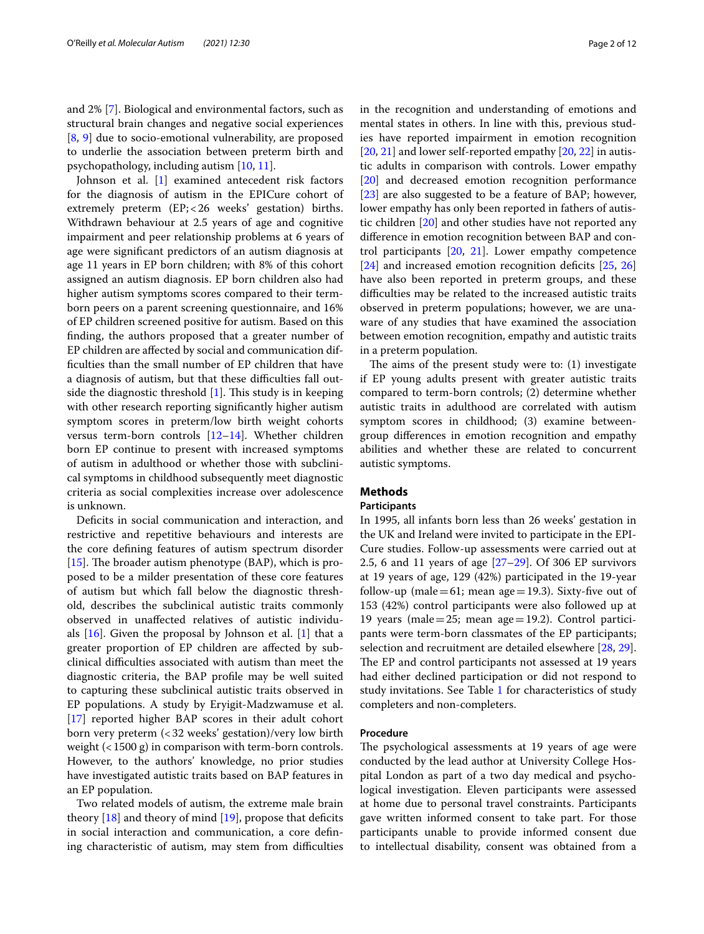and 2% [[7\]](#page-10-2). Biological and environmental factors, such as structural brain changes and negative social experiences [[8,](#page-10-3) [9](#page-10-4)] due to socio-emotional vulnerability, are proposed to underlie the association between preterm birth and psychopathology, including autism [[10,](#page-10-5) [11](#page-10-6)].

Johnson et al. [[1\]](#page-9-0) examined antecedent risk factors for the diagnosis of autism in the EPICure cohort of extremely preterm (EP;<26 weeks' gestation) births. Withdrawn behaviour at 2.5 years of age and cognitive impairment and peer relationship problems at 6 years of age were signifcant predictors of an autism diagnosis at age 11 years in EP born children; with 8% of this cohort assigned an autism diagnosis. EP born children also had higher autism symptoms scores compared to their termborn peers on a parent screening questionnaire, and 16% of EP children screened positive for autism. Based on this fnding, the authors proposed that a greater number of EP children are afected by social and communication diffculties than the small number of EP children that have a diagnosis of autism, but that these difficulties fall outside the diagnostic threshold  $[1]$  $[1]$ . This study is in keeping with other research reporting signifcantly higher autism symptom scores in preterm/low birth weight cohorts versus term-born controls [\[12](#page-10-7)–[14\]](#page-10-8). Whether children born EP continue to present with increased symptoms of autism in adulthood or whether those with subclinical symptoms in childhood subsequently meet diagnostic criteria as social complexities increase over adolescence is unknown.

Deficits in social communication and interaction, and restrictive and repetitive behaviours and interests are the core defning features of autism spectrum disorder [[15\]](#page-10-9). The broader autism phenotype (BAP), which is proposed to be a milder presentation of these core features of autism but which fall below the diagnostic threshold, describes the subclinical autistic traits commonly observed in unafected relatives of autistic individuals  $[16]$  $[16]$ . Given the proposal by Johnson et al.  $[1]$  $[1]$  that a greater proportion of EP children are afected by subclinical difculties associated with autism than meet the diagnostic criteria, the BAP profle may be well suited to capturing these subclinical autistic traits observed in EP populations. A study by Eryigit-Madzwamuse et al. [[17\]](#page-10-11) reported higher BAP scores in their adult cohort born very preterm (<32 weeks' gestation)/very low birth weight (<1500 g) in comparison with term-born controls. However, to the authors' knowledge, no prior studies have investigated autistic traits based on BAP features in an EP population.

Two related models of autism, the extreme male brain theory  $[18]$  $[18]$  and theory of mind  $[19]$  $[19]$ , propose that deficits in social interaction and communication, a core defning characteristic of autism, may stem from difficulties in the recognition and understanding of emotions and mental states in others. In line with this, previous studies have reported impairment in emotion recognition [[20,](#page-10-14) [21](#page-10-15)] and lower self-reported empathy [20, [22\]](#page-10-16) in autistic adults in comparison with controls. Lower empathy [[20\]](#page-10-14) and decreased emotion recognition performance [[23\]](#page-10-17) are also suggested to be a feature of BAP; however, lower empathy has only been reported in fathers of autistic children [[20\]](#page-10-14) and other studies have not reported any diference in emotion recognition between BAP and control participants [\[20](#page-10-14), [21](#page-10-15)]. Lower empathy competence  $[24]$  $[24]$  and increased emotion recognition deficits  $[25, 26]$  $[25, 26]$  $[25, 26]$  $[25, 26]$ have also been reported in preterm groups, and these difficulties may be related to the increased autistic traits observed in preterm populations; however, we are unaware of any studies that have examined the association between emotion recognition, empathy and autistic traits in a preterm population.

The aims of the present study were to:  $(1)$  investigate if EP young adults present with greater autistic traits compared to term-born controls; (2) determine whether autistic traits in adulthood are correlated with autism symptom scores in childhood; (3) examine betweengroup diferences in emotion recognition and empathy abilities and whether these are related to concurrent autistic symptoms.

#### **Methods**

#### **Participants**

In 1995, all infants born less than 26 weeks' gestation in the UK and Ireland were invited to participate in the EPI-Cure studies. Follow-up assessments were carried out at 2.5, 6 and 11 years of age [\[27](#page-10-21)[–29\]](#page-10-22). Of 306 EP survivors at 19 years of age, 129 (42%) participated in the 19-year follow-up (male=61; mean age=19.3). Sixty-five out of 153 (42%) control participants were also followed up at 19 years (male=25; mean age=19.2). Control participants were term-born classmates of the EP participants; selection and recruitment are detailed elsewhere [[28,](#page-10-23) [29](#page-10-22)]. The EP and control participants not assessed at 19 years had either declined participation or did not respond to study invitations. See Table [1](#page-2-0) for characteristics of study completers and non-completers.

#### **Procedure**

The psychological assessments at 19 years of age were conducted by the lead author at University College Hospital London as part of a two day medical and psychological investigation. Eleven participants were assessed at home due to personal travel constraints. Participants gave written informed consent to take part. For those participants unable to provide informed consent due to intellectual disability, consent was obtained from a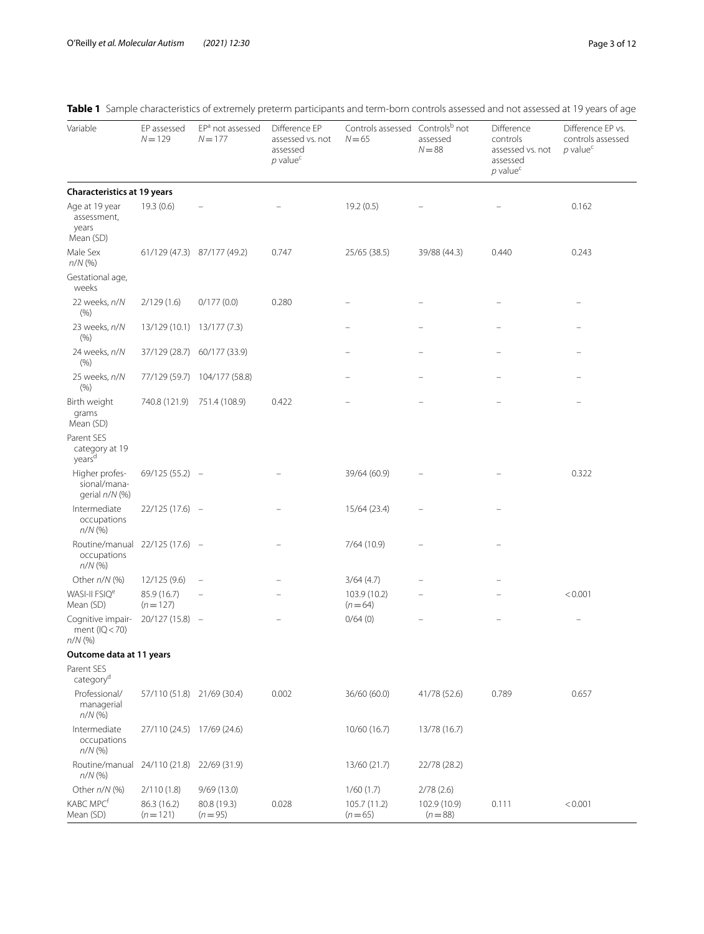| Variable                                             | EP assessed<br>$N = 129$   | EP <sup>a</sup> not assessed<br>$N = 177$ | Difference EP<br>assessed vs. not<br>assessed<br>$p$ value <sup>c</sup> | Controls assessed Controlsb not<br>$N = 65$ | assessed<br>$N = 88$     | Difference<br>controls<br>assessed vs. not<br>assessed<br>$p$ value <sup>c</sup> | Difference EP vs.<br>controls assessed<br>$p$ value <sup>c</sup> |
|------------------------------------------------------|----------------------------|-------------------------------------------|-------------------------------------------------------------------------|---------------------------------------------|--------------------------|----------------------------------------------------------------------------------|------------------------------------------------------------------|
| <b>Characteristics at 19 years</b>                   |                            |                                           |                                                                         |                                             |                          |                                                                                  |                                                                  |
| Age at 19 year<br>assessment,<br>years<br>Mean (SD)  | 19.3(0.6)                  |                                           |                                                                         | 19.2(0.5)                                   |                          |                                                                                  | 0.162                                                            |
| Male Sex<br>$n/N$ (%)                                |                            | 61/129 (47.3) 87/177 (49.2)               | 0.747                                                                   | 25/65 (38.5)                                | 39/88 (44.3)             | 0.440                                                                            | 0.243                                                            |
| Gestational age,<br>weeks                            |                            |                                           |                                                                         |                                             |                          |                                                                                  |                                                                  |
| 22 weeks, n/N<br>(% )                                | 2/129(1.6)                 | 0/177(0.0)                                | 0.280                                                                   |                                             |                          |                                                                                  |                                                                  |
| 23 weeks, n/N<br>(% )                                | 13/129 (10.1) 13/177 (7.3) |                                           |                                                                         |                                             |                          |                                                                                  |                                                                  |
| 24 weeks, n/N<br>(% )                                | 37/129 (28.7)              | 60/177 (33.9)                             |                                                                         |                                             |                          |                                                                                  |                                                                  |
| 25 weeks, n/N<br>(% )                                | 77/129 (59.7)              | 104/177 (58.8)                            |                                                                         |                                             |                          |                                                                                  |                                                                  |
| Birth weight<br>grams<br>Mean (SD)                   | 740.8 (121.9)              | 751.4 (108.9)                             | 0.422                                                                   |                                             |                          |                                                                                  |                                                                  |
| Parent SES<br>category at 19<br>yearsd               |                            |                                           |                                                                         |                                             |                          |                                                                                  |                                                                  |
| Higher profes-<br>sional/mana-<br>gerial n/N (%)     | $69/125(55.2) -$           |                                           |                                                                         | 39/64 (60.9)                                |                          |                                                                                  | 0.322                                                            |
| Intermediate<br>occupations<br>$n/N$ (%)             | $22/125(17.6) -$           |                                           |                                                                         | 15/64 (23.4)                                |                          |                                                                                  |                                                                  |
| Routine/manual<br>occupations<br>$n/N$ (%)           | 22/125 (17.6) –            |                                           |                                                                         | 7/64(10.9)                                  |                          |                                                                                  |                                                                  |
| Other $n/N$ (%)                                      | 12/125 (9.6)               |                                           |                                                                         | 3/64(4.7)                                   |                          |                                                                                  |                                                                  |
| WASI-II FSIQ <sup>e</sup><br>Mean (SD)               | 85.9 (16.7)<br>$(n=127)$   |                                           |                                                                         | 103.9 (10.2)<br>$(n=64)$                    |                          |                                                                                  | < 0.001                                                          |
| Cognitive impair-<br>ment ( $IQ < 70$ )<br>$n/N$ (%) | $20/127(15.8) -$           |                                           |                                                                         | 0/64(0)                                     |                          |                                                                                  |                                                                  |
| Outcome data at 11 years                             |                            |                                           |                                                                         |                                             |                          |                                                                                  |                                                                  |
| Parent SES<br>category <sup>d</sup>                  |                            |                                           |                                                                         |                                             |                          |                                                                                  |                                                                  |
| Professional/<br>managerial<br>$n/N$ (%)             | 57/110 (51.8) 21/69 (30.4) |                                           | 0.002                                                                   | 36/60 (60.0)                                | 41/78 (52.6)             | 0.789                                                                            | 0.657                                                            |
| Intermediate<br>occupations<br>$n/N$ (%)             | 27/110 (24.5) 17/69 (24.6) |                                           |                                                                         | 10/60 (16.7)                                | 13/78 (16.7)             |                                                                                  |                                                                  |
| Routine/manual<br>$n/N$ (%)                          | 24/110 (21.8)              | 22/69 (31.9)                              |                                                                         | 13/60 (21.7)                                | 22/78 (28.2)             |                                                                                  |                                                                  |
| Other n/N (%)                                        | 2/110(1.8)                 | 9/69(13.0)                                |                                                                         | 1/60(1.7)                                   | 2/78(2.6)                |                                                                                  |                                                                  |
| KABC MPC <sup>f</sup><br>Mean (SD)                   | 86.3 (16.2)<br>$(n=121)$   | 80.8 (19.3)<br>$(n=95)$                   | 0.028                                                                   | 105.7 (11.2)<br>$(n=65)$                    | 102.9 (10.9)<br>$(n=88)$ | 0.111                                                                            | < 0.001                                                          |

## <span id="page-2-0"></span>**Table 1** Sample characteristics of extremely preterm participants and term-born controls assessed and not assessed at 19 years of age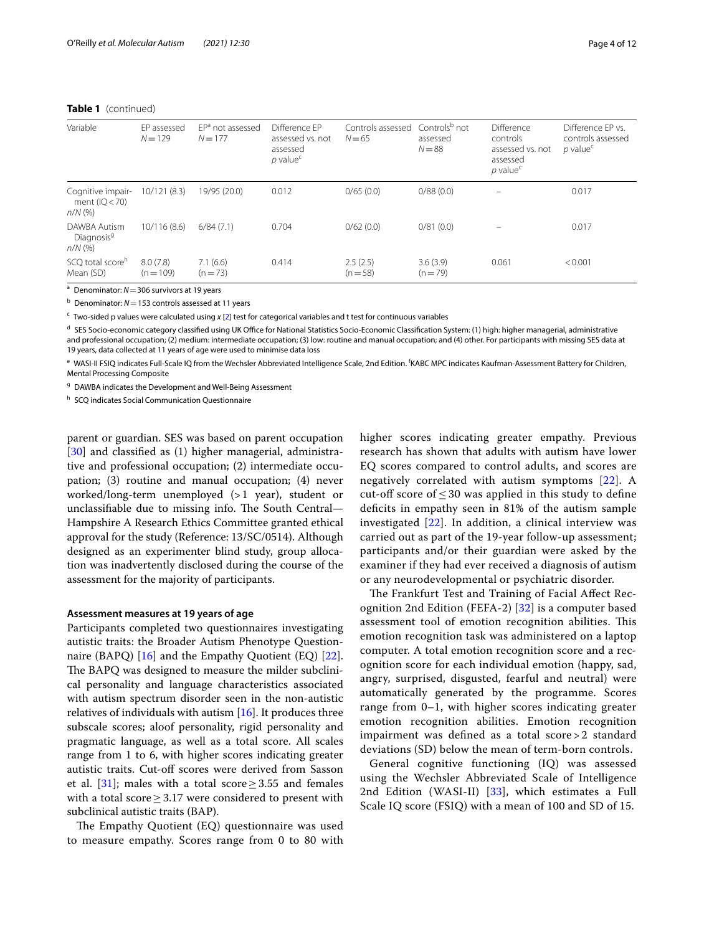#### **Table 1** (continued)

| Variable                                             | EP assessed<br>$N = 129$ | EP <sup>a</sup> not assessed<br>$N = 177$ | Difference EP<br>assessed vs. not<br>assessed<br>$p$ value <sup>c</sup> | Controls assessed<br>$N = 65$ | Controls <sup>b</sup> not<br>assessed<br>$N = 88$ | Difference<br>controls<br>assessed vs. not<br>assessed<br>$p$ value <sup>c</sup> | Difference FP vs.<br>controls assessed<br>$p$ value <sup>c</sup> |
|------------------------------------------------------|--------------------------|-------------------------------------------|-------------------------------------------------------------------------|-------------------------------|---------------------------------------------------|----------------------------------------------------------------------------------|------------------------------------------------------------------|
| Cognitive impair-<br>ment ( $ Q $ < 70)<br>$n/N$ (%) | 10/121(8.3)              | 19/95 (20.0)                              | 0.012                                                                   | 0/65(0.0)                     | 0/88(0.0)                                         | $\overline{\phantom{0}}$                                                         | 0.017                                                            |
| DAWBA Autism<br>Diagnosis <sup>9</sup><br>$n/N$ (%)  | 10/116 (8.6)             | 6/84(7.1)                                 | 0.704                                                                   | 0/62(0.0)                     | 0/81(0.0)                                         |                                                                                  | 0.017                                                            |
| SCO total score <sup>n</sup><br>Mean (SD)            | 8.0(7.8)<br>$(n = 109)$  | 7.1(6.6)<br>$(n=73)$                      | 0.414                                                                   | 2.5(2.5)<br>$(n = 58)$        | 3.6(3.9)<br>$(n=79)$                              | 0.061                                                                            | < 0.001                                                          |

<sup>a</sup> Denominator: *N*=306 survivors at 19 years

<sup>b</sup> Denominator: *N*=153 controls assessed at 11 years

<sup>c</sup> Two-sided p values were calculated using *x* [\[2](#page-9-1)] test for categorical variables and t test for continuous variables

<sup>d</sup> SES Socio-economic category classified using UK Office for National Statistics Socio-Economic Classification System: (1) high: higher managerial, administrative and professional occupation; (2) medium: intermediate occupation; (3) low: routine and manual occupation; and (4) other. For participants with missing SES data at 19 years, data collected at 11 years of age were used to minimise data loss

 $\text{e}\,$  WASI-II FSIQ indicates Full-Scale IQ from the Wechsler Abbreviated Intelligence Scale, 2nd Edition. <sup>f</sup>KABC MPC indicates Kaufman-Assessment Battery for Children, Mental Processing Composite

<sup>g</sup> DAWBA indicates the Development and Well-Being Assessment

h SCO indicates Social Communication Questionnaire

parent or guardian. SES was based on parent occupation [[30\]](#page-10-24) and classified as (1) higher managerial, administrative and professional occupation; (2) intermediate occupation; (3) routine and manual occupation; (4) never worked/long-term unemployed (>1 year), student or unclassifiable due to missing info. The South Central-Hampshire A Research Ethics Committee granted ethical approval for the study (Reference: 13/SC/0514). Although designed as an experimenter blind study, group allocation was inadvertently disclosed during the course of the assessment for the majority of participants.

#### **Assessment measures at 19 years of age**

Participants completed two questionnaires investigating autistic traits: the Broader Autism Phenotype Question-naire (BAPQ) [\[16](#page-10-10)] and the Empathy Quotient (EQ) [\[22](#page-10-16)]. The BAPQ was designed to measure the milder subclinical personality and language characteristics associated with autism spectrum disorder seen in the non-autistic relatives of individuals with autism [\[16](#page-10-10)]. It produces three subscale scores; aloof personality, rigid personality and pragmatic language, as well as a total score. All scales range from 1 to 6, with higher scores indicating greater autistic traits. Cut-of scores were derived from Sasson et al. [[31](#page-10-25)]; males with a total score  $\geq$  3.55 and females with a total score≥3.17 were considered to present with subclinical autistic traits (BAP).

The Empathy Quotient (EQ) questionnaire was used to measure empathy. Scores range from 0 to 80 with higher scores indicating greater empathy. Previous research has shown that adults with autism have lower EQ scores compared to control adults, and scores are negatively correlated with autism symptoms [\[22\]](#page-10-16). A cut-off score of  $\leq 30$  was applied in this study to define deficits in empathy seen in 81% of the autism sample investigated [\[22\]](#page-10-16). In addition, a clinical interview was carried out as part of the 19-year follow-up assessment; participants and/or their guardian were asked by the examiner if they had ever received a diagnosis of autism or any neurodevelopmental or psychiatric disorder.

The Frankfurt Test and Training of Facial Affect Recognition 2nd Edition (FEFA-2) [[32](#page-10-26)] is a computer based assessment tool of emotion recognition abilities. This emotion recognition task was administered on a laptop computer. A total emotion recognition score and a recognition score for each individual emotion (happy, sad, angry, surprised, disgusted, fearful and neutral) were automatically generated by the programme. Scores range from 0–1, with higher scores indicating greater emotion recognition abilities. Emotion recognition impairment was defned as a total score > 2 standard deviations (SD) below the mean of term-born controls.

General cognitive functioning (IQ) was assessed using the Wechsler Abbreviated Scale of Intelligence 2nd Edition (WASI-II) [[33\]](#page-10-27), which estimates a Full Scale IQ score (FSIQ) with a mean of 100 and SD of 15.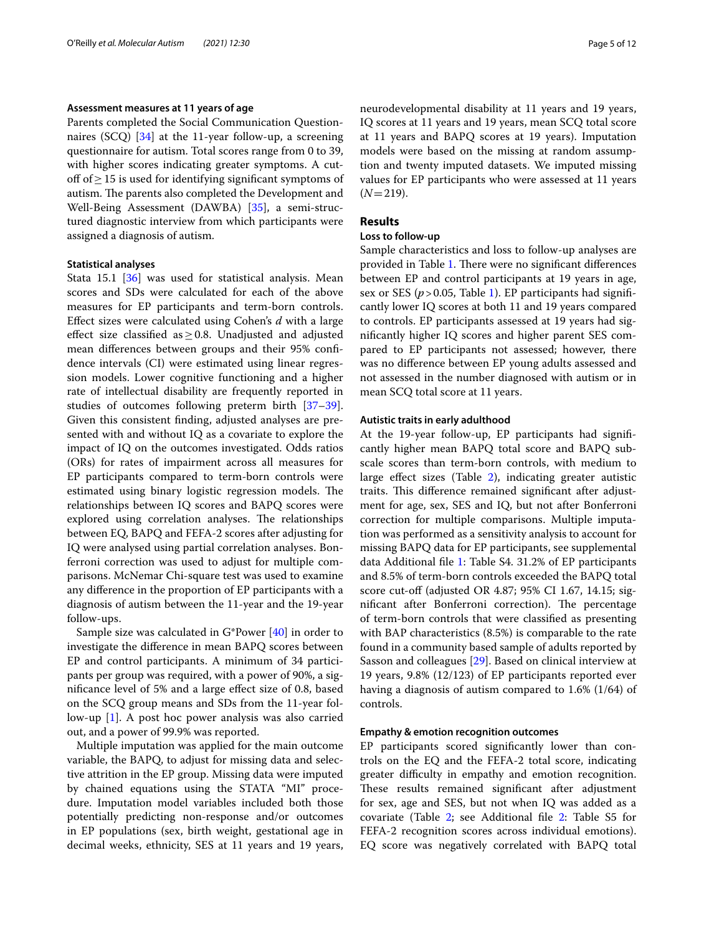#### **Assessment measures at 11 years of age**

Parents completed the Social Communication Questionnaires (SCQ) [[34\]](#page-10-28) at the 11-year follow-up, a screening questionnaire for autism. Total scores range from 0 to 39, with higher scores indicating greater symptoms. A cutof of≥15 is used for identifying signifcant symptoms of autism. The parents also completed the Development and Well-Being Assessment (DAWBA) [[35\]](#page-10-29), a semi-structured diagnostic interview from which participants were assigned a diagnosis of autism.

#### **Statistical analyses**

Stata 15.1 [[36\]](#page-10-30) was used for statistical analysis. Mean scores and SDs were calculated for each of the above measures for EP participants and term-born controls. Efect sizes were calculated using Cohen's *d* with a large effect size classified as  $\geq$  0.8. Unadjusted and adjusted mean diferences between groups and their 95% confdence intervals (CI) were estimated using linear regression models. Lower cognitive functioning and a higher rate of intellectual disability are frequently reported in studies of outcomes following preterm birth [[37](#page-10-31)[–39](#page-10-32)]. Given this consistent fnding, adjusted analyses are presented with and without IQ as a covariate to explore the impact of IQ on the outcomes investigated. Odds ratios (ORs) for rates of impairment across all measures for EP participants compared to term-born controls were estimated using binary logistic regression models. The relationships between IQ scores and BAPQ scores were explored using correlation analyses. The relationships between EQ, BAPQ and FEFA-2 scores after adjusting for IQ were analysed using partial correlation analyses. Bonferroni correction was used to adjust for multiple comparisons. McNemar Chi-square test was used to examine any diference in the proportion of EP participants with a diagnosis of autism between the 11-year and the 19-year follow-ups.

Sample size was calculated in G\*Power [[40\]](#page-10-33) in order to investigate the diference in mean BAPQ scores between EP and control participants. A minimum of 34 participants per group was required, with a power of 90%, a signifcance level of 5% and a large efect size of 0.8, based on the SCQ group means and SDs from the 11-year follow-up [[1\]](#page-9-0). A post hoc power analysis was also carried out, and a power of 99.9% was reported.

Multiple imputation was applied for the main outcome variable, the BAPQ, to adjust for missing data and selective attrition in the EP group. Missing data were imputed by chained equations using the STATA "MI" procedure. Imputation model variables included both those potentially predicting non-response and/or outcomes in EP populations (sex, birth weight, gestational age in decimal weeks, ethnicity, SES at 11 years and 19 years, neurodevelopmental disability at 11 years and 19 years, IQ scores at 11 years and 19 years, mean SCQ total score at 11 years and BAPQ scores at 19 years). Imputation models were based on the missing at random assumption and twenty imputed datasets. We imputed missing values for EP participants who were assessed at 11 years  $(N=219)$ .

#### **Results**

#### **Loss to follow‑up**

Sample characteristics and loss to follow-up analyses are provided in Table [1.](#page-2-0) There were no significant differences between EP and control participants at 19 years in age, sex or SES ( $p > 0.05$ , Table [1\)](#page-2-0). EP participants had significantly lower IQ scores at both 11 and 19 years compared to controls. EP participants assessed at 19 years had signifcantly higher IQ scores and higher parent SES compared to EP participants not assessed; however, there was no diference between EP young adults assessed and not assessed in the number diagnosed with autism or in mean SCQ total score at 11 years.

#### **Autistic traits in early adulthood**

At the 19-year follow-up, EP participants had signifcantly higher mean BAPQ total score and BAPQ subscale scores than term-born controls, with medium to large efect sizes (Table [2\)](#page-5-0), indicating greater autistic traits. This difference remained significant after adjustment for age, sex, SES and IQ, but not after Bonferroni correction for multiple comparisons. Multiple imputation was performed as a sensitivity analysis to account for missing BAPQ data for EP participants, see supplemental data Additional fle [1](#page-9-4): Table S4. 31.2% of EP participants and 8.5% of term-born controls exceeded the BAPQ total score cut-off (adjusted OR 4.87; 95% CI 1.67, 14.15; significant after Bonferroni correction). The percentage of term-born controls that were classifed as presenting with BAP characteristics (8.5%) is comparable to the rate found in a community based sample of adults reported by Sasson and colleagues [[29](#page-10-22)]. Based on clinical interview at 19 years, 9.8% (12/123) of EP participants reported ever having a diagnosis of autism compared to 1.6% (1/64) of controls.

#### **Empathy & emotion recognition outcomes**

EP participants scored signifcantly lower than controls on the EQ and the FEFA-2 total score, indicating greater difficulty in empathy and emotion recognition. These results remained significant after adjustment for sex, age and SES, but not when IQ was added as a covariate (Table [2](#page-5-0); see Additional fle [2:](#page-9-5) Table S5 for FEFA-2 recognition scores across individual emotions). EQ score was negatively correlated with BAPQ total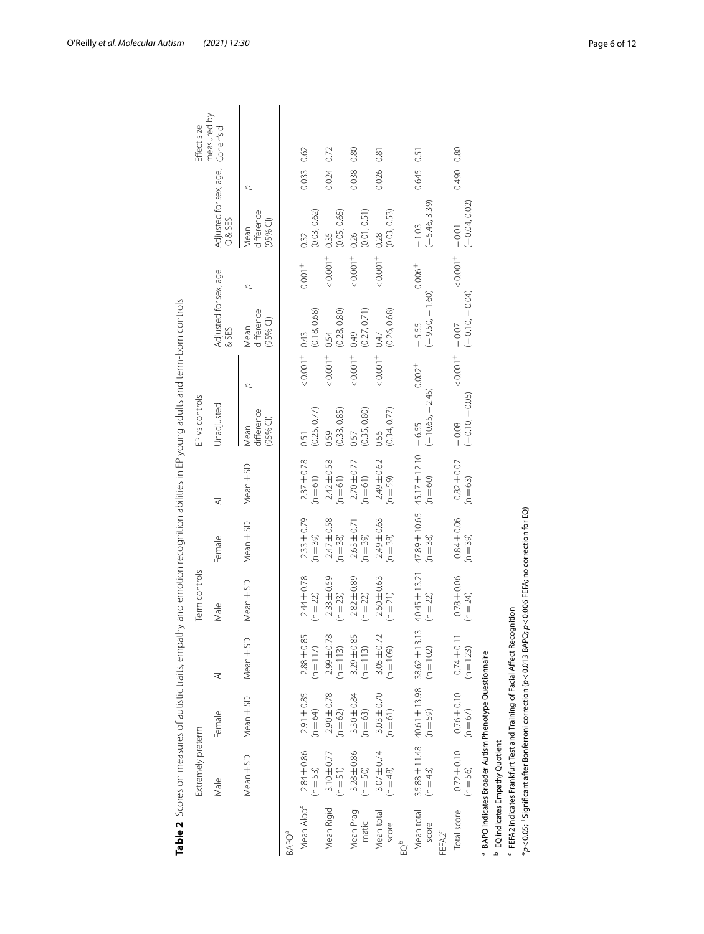|                                   | Extremely preterm                                                                      |                                                                                |                                                                                                                                                                                                          | Term controls                   |                               |                               | EP vs controls                   |                  |                                  |                  |                                  |       | Effect size              |
|-----------------------------------|----------------------------------------------------------------------------------------|--------------------------------------------------------------------------------|----------------------------------------------------------------------------------------------------------------------------------------------------------------------------------------------------------|---------------------------------|-------------------------------|-------------------------------|----------------------------------|------------------|----------------------------------|------------------|----------------------------------|-------|--------------------------|
|                                   | Male                                                                                   | Female                                                                         | ₹                                                                                                                                                                                                        | Male                            | Female                        | ₹                             | Unadjusted                       |                  | Adjusted for sex, age<br>& SES   |                  | Adjusted for sex, age,<br>IQ&SES |       | measured by<br>Cohen's d |
|                                   | Mean ± SD                                                                              | Mean ± SD                                                                      | Mean ±SD                                                                                                                                                                                                 | Mean ± SD                       | Mean ± SD                     | Mean ± SD                     | difference<br>$(95%$ CI)<br>Mean | σ                | difference<br>$(95%$ Cl)<br>Mean | σ                | difference<br>$(95%$ Cl)<br>Mean | σ     |                          |
| BAPOª                             |                                                                                        |                                                                                |                                                                                                                                                                                                          |                                 |                               |                               |                                  |                  |                                  |                  |                                  |       |                          |
| Mean Aloof                        | $2.84 \pm 0.86$<br>$(n = 53)$                                                          | 2.91±0.85<br>$(n = 64)$                                                        | $2.88 \pm 0.85$<br>$(n = 117)$                                                                                                                                                                           | $2.44 \pm 0.78$<br>$(n = 22)$   | $2.33 \pm 0.79$<br>$(n = 39)$ | $2.37 \pm 0.78$<br>$(n = 61)$ | (0.25, 0.77)<br>0.51             | $-0.001 +$       | (0.18, 0.68)<br>0.43             | $0.001 +$        | (0.03, 0.62)<br>0.32             | 0.033 | 0.62                     |
| Mean Rigid                        | $3.10 + 0.77$<br>$(n = 51)$                                                            | $2.90 \pm 0.78$<br>$(n = 62)$                                                  | 2.99±0.78<br>$(n = 113)$                                                                                                                                                                                 | $2.33 \pm 0.59$<br>(n = 23)     | $2.47 \pm 0.58$<br>(n = 38)   | $2.42 \pm 0.58$<br>(n = 61)   | $0.59$<br>$(0.33, 0.85)$         | $10000 +$        | $0.54$<br>(0.28, 0.80)           | $10000 +$        | (0.05, 0.65)<br>0.35             | 0.024 | 0.72                     |
| Mean Prag-<br>matic               | $3.28 \pm 0.86$<br>(n = 50)                                                            | $3.30 \pm 0.84$<br>(n = 63)                                                    | $3.29 \pm 0.85$<br>$(n = 113)$                                                                                                                                                                           | $2.82 \pm 0.89$<br>(n = 22)     | $2.63 \pm 0.71$<br>(n = 39)   | $2.70 \pm 0.77$<br>(n = 61)   | $0.57$<br>$(0.35, 0.80)$         | $10000 +$        | $0.49$<br>$(0.27, 0.71)$         | $10000 +$        | $0.26$<br>(0.01, 0.51)           | 0.038 | 0.80                     |
| Mean total<br>score<br>å          | $3.07 \pm 0.74$<br>$(n = 48)$                                                          | $3.03 + 0.70$<br>$(n = 61)$                                                    | $3.05 \pm 0.72$<br>$(n = 109)$                                                                                                                                                                           | $2.50 \pm 0.63$<br>$(n = 21)$   | $2.49 \pm 0.63$<br>$(n = 38)$ | 2.49±0.62<br>$(n = 59)$       | (0.34, 0.77)<br>0.55             | $10000 - 7000 +$ | (0.26, 0.68)<br>0.47             | $10000 - 7000 +$ | (0.03, 0.53)<br>0.28             | 0.026 | 0.81                     |
| Mean total<br>score               | $(n = 43)$                                                                             | $35.88 \pm 11.48$ 40.61 $\pm$ 13.98 38.62 $\pm$ 13.13<br>$(n = 59)$            | $(n = 102)$                                                                                                                                                                                              | $40.45 \pm 13.21$<br>$(n = 22)$ | 47.89±10.65<br>$(n = 38)$     | 45.17±12.10<br>$(n = 60)$     | $(-10.65, -2.45)$<br>$-6.55$     | $0.002^{+}$      | $(-9.50, -1.60)$<br>$-5.55$      | $0.006+$         | $(-5.46, 3.39)$<br>$-1.03$       | 0.645 | 0.51                     |
| Total score<br>FEFA2 <sup>c</sup> |                                                                                        | $0.72 \pm 0.10$ $0.76 \pm 0.10$ $0.74 \pm 0.11$<br>(n = 56) (n = 67) (n = 123) |                                                                                                                                                                                                          | $0.78 \pm 0.06$<br>(n = 24)     | $0.84 \pm 0.06$<br>(n = 39)   | $0.82 \pm 0.07$<br>(n = 63)   | $-0.08$<br>$(-0.10, -0.05)$      | $10000 +$        | $(-0.10, -0.04)$<br>$-0.07$      | $10000 - 7000$   | $(-0.04, 0.02)$<br>$-0.01$       | 0.490 | 0.80                     |
|                                   | BAPQ indicates Broader Autism Phenotype Questionnaire<br>EQ indicates Empathy Quotient |                                                                                |                                                                                                                                                                                                          |                                 |                               |                               |                                  |                  |                                  |                  |                                  |       |                          |
|                                   |                                                                                        |                                                                                | $*_\rho$ <0.05; $^+$ Significant after Bonferroni correction ( $\rho$ <0.013 BAPQ; $\rho$ <0.006 FEFA; no correction for EQ)<br>FEFA2 indicates Frankfurt Test and Training of Facial Affect Recognition |                                 |                               |                               |                                  |                  |                                  |                  |                                  |       |                          |

<span id="page-5-0"></span>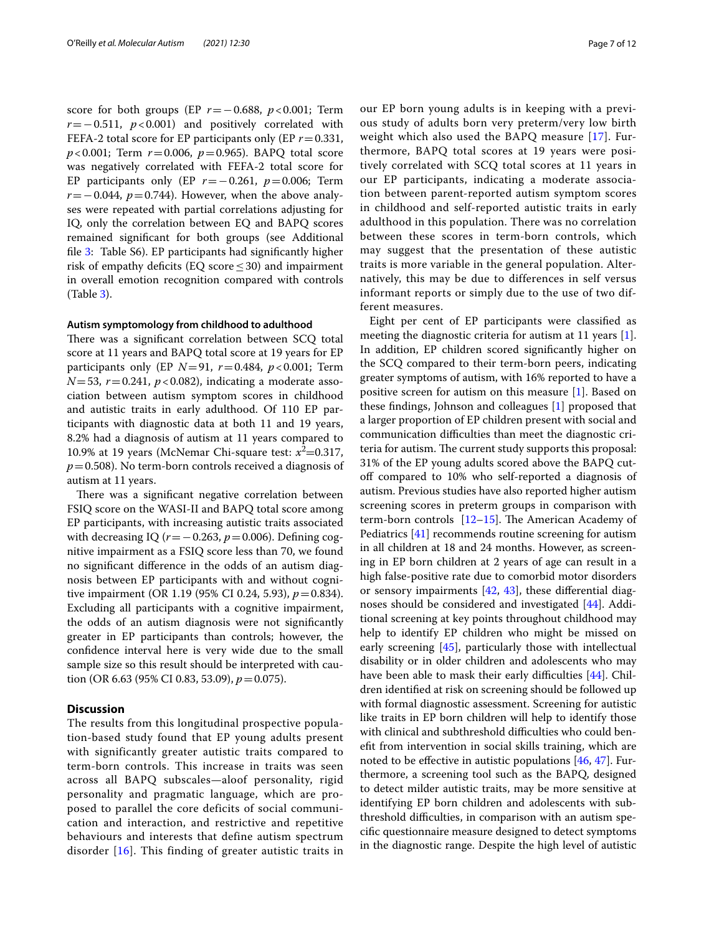score for both groups (EP *r*=−0.688, *p*<0.001; Term *r*=−0.511, *p*<0.001) and positively correlated with FEFA-2 total score for EP participants only (EP *r*=0.331, *p*<0.001; Term *r*=0.006, *p*=0.965). BAPQ total score was negatively correlated with FEFA-2 total score for EP participants only (EP *r*=−0.261, *p*=0.006; Term *r* = −0.044, *p* = 0.744). However, when the above analyses were repeated with partial correlations adjusting for IQ, only the correlation between EQ and BAPQ scores remained signifcant for both groups (see Additional fle [3:](#page-9-6) Table S6). EP participants had signifcantly higher risk of empathy deficits (EQ score  $\leq$  30) and impairment in overall emotion recognition compared with controls (Table [3](#page-7-0)).

#### **Autism symptomology from childhood to adulthood**

There was a significant correlation between SCQ total score at 11 years and BAPQ total score at 19 years for EP participants only (EP *N*=91, *r*=0.484, *p*<0.001; Term  $N=53$ ,  $r=0.241$ ,  $p<0.082$ ), indicating a moderate association between autism symptom scores in childhood and autistic traits in early adulthood. Of 110 EP participants with diagnostic data at both 11 and 19 years, 8.2% had a diagnosis of autism at 11 years compared to 10.9% at 19 years (McNemar Chi-square test:  $x^2 = 0.317$ , *p*=0.508). No term-born controls received a diagnosis of autism at 11 years.

There was a significant negative correlation between FSIQ score on the WASI-II and BAPQ total score among EP participants, with increasing autistic traits associated with decreasing IQ (*r* = −0.263, *p* = 0.006). Defining cognitive impairment as a FSIQ score less than 70, we found no signifcant diference in the odds of an autism diagnosis between EP participants with and without cognitive impairment (OR 1.19 (95% CI 0.24, 5.93), *p*=0.834). Excluding all participants with a cognitive impairment, the odds of an autism diagnosis were not signifcantly greater in EP participants than controls; however, the confdence interval here is very wide due to the small sample size so this result should be interpreted with caution (OR 6.63 (95% CI 0.83, 53.09), *p*=0.075).

#### **Discussion**

The results from this longitudinal prospective population-based study found that EP young adults present with significantly greater autistic traits compared to term-born controls. This increase in traits was seen across all BAPQ subscales—aloof personality, rigid personality and pragmatic language, which are proposed to parallel the core deficits of social communication and interaction, and restrictive and repetitive behaviours and interests that define autism spectrum disorder [\[16\]](#page-10-10). This finding of greater autistic traits in our EP born young adults is in keeping with a previous study of adults born very preterm/very low birth weight which also used the BAPQ measure [[17](#page-10-11)]. Furthermore, BAPQ total scores at 19 years were positively correlated with SCQ total scores at 11 years in our EP participants, indicating a moderate association between parent-reported autism symptom scores in childhood and self-reported autistic traits in early adulthood in this population. There was no correlation between these scores in term-born controls, which may suggest that the presentation of these autistic traits is more variable in the general population. Alternatively, this may be due to differences in self versus informant reports or simply due to the use of two different measures.

Eight per cent of EP participants were classifed as meeting the diagnostic criteria for autism at 11 years [\[1](#page-9-0)]. In addition, EP children scored signifcantly higher on the SCQ compared to their term-born peers, indicating greater symptoms of autism, with 16% reported to have a positive screen for autism on this measure [\[1](#page-9-0)]. Based on these fndings, Johnson and colleagues [[1\]](#page-9-0) proposed that a larger proportion of EP children present with social and communication difculties than meet the diagnostic criteria for autism. The current study supports this proposal: 31% of the EP young adults scored above the BAPQ cutoff compared to 10% who self-reported a diagnosis of autism. Previous studies have also reported higher autism screening scores in preterm groups in comparison with term-born controls  $[12-15]$  $[12-15]$ . The American Academy of Pediatrics [[41\]](#page-10-34) recommends routine screening for autism in all children at 18 and 24 months. However, as screening in EP born children at 2 years of age can result in a high false-positive rate due to comorbid motor disorders or sensory impairments  $[42, 43]$  $[42, 43]$  $[42, 43]$  $[42, 43]$  $[42, 43]$ , these differential diagnoses should be considered and investigated [\[44](#page-10-37)]. Additional screening at key points throughout childhood may help to identify EP children who might be missed on early screening [[45\]](#page-10-38), particularly those with intellectual disability or in older children and adolescents who may have been able to mask their early difficulties  $[44]$  $[44]$ . Children identifed at risk on screening should be followed up with formal diagnostic assessment. Screening for autistic like traits in EP born children will help to identify those with clinical and subthreshold difficulties who could beneft from intervention in social skills training, which are noted to be efective in autistic populations [[46](#page-10-39), [47](#page-10-40)]. Furthermore, a screening tool such as the BAPQ, designed to detect milder autistic traits, may be more sensitive at identifying EP born children and adolescents with subthreshold difficulties, in comparison with an autism specifc questionnaire measure designed to detect symptoms in the diagnostic range. Despite the high level of autistic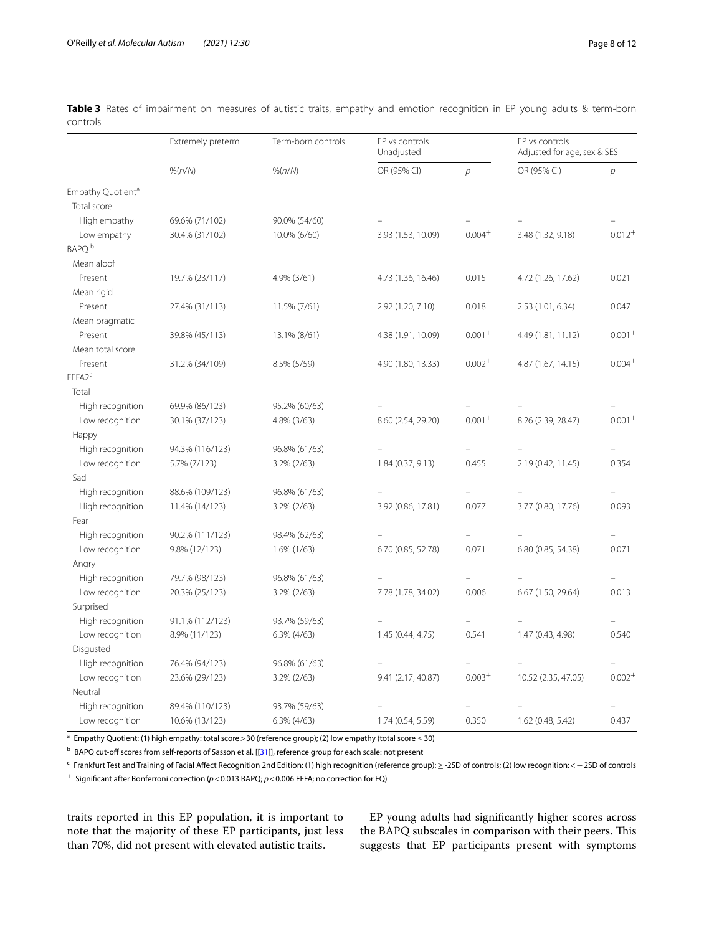|                               | Extremely preterm | Term-born controls | EP vs controls<br>Unadjusted |                | EP vs controls<br>Adjusted for age, sex & SES |             |
|-------------------------------|-------------------|--------------------|------------------------------|----------------|-----------------------------------------------|-------------|
|                               | % (n/N)           | % (n/N)            | OR (95% CI)                  | $\overline{p}$ | OR (95% CI)                                   | р           |
| Empathy Quotient <sup>a</sup> |                   |                    |                              |                |                                               |             |
| Total score                   |                   |                    |                              |                |                                               |             |
| High empathy                  | 69.6% (71/102)    | 90.0% (54/60)      |                              |                |                                               |             |
| Low empathy                   | 30.4% (31/102)    | 10.0% (6/60)       | 3.93 (1.53, 10.09)           | $0.004+$       | 3.48 (1.32, 9.18)                             | $0.012^{+}$ |
| BAPO <sup>b</sup>             |                   |                    |                              |                |                                               |             |
| Mean aloof                    |                   |                    |                              |                |                                               |             |
| Present                       | 19.7% (23/117)    | 4.9% (3/61)        | 4.73 (1.36, 16.46)           | 0.015          | 4.72 (1.26, 17.62)                            | 0.021       |
| Mean rigid                    |                   |                    |                              |                |                                               |             |
| Present                       | 27.4% (31/113)    | 11.5% (7/61)       | 2.92 (1.20, 7.10)            | 0.018          | 2.53 (1.01, 6.34)                             | 0.047       |
| Mean pragmatic                |                   |                    |                              |                |                                               |             |
| Present                       | 39.8% (45/113)    | 13.1% (8/61)       | 4.38 (1.91, 10.09)           | $0.001 +$      | 4.49 (1.81, 11.12)                            | $0.001+$    |
| Mean total score              |                   |                    |                              |                |                                               |             |
| Present                       | 31.2% (34/109)    | 8.5% (5/59)        | 4.90 (1.80, 13.33)           | $0.002 +$      | 4.87 (1.67, 14.15)                            | $0.004+$    |
| FEFA2 <sup>c</sup>            |                   |                    |                              |                |                                               |             |
| Total                         |                   |                    |                              |                |                                               |             |
| High recognition              | 69.9% (86/123)    | 95.2% (60/63)      |                              |                |                                               |             |
| Low recognition               | 30.1% (37/123)    | 4.8% (3/63)        | 8.60 (2.54, 29.20)           | $0.001 +$      | 8.26 (2.39, 28.47)                            | $0.001+$    |
| Happy                         |                   |                    |                              |                |                                               |             |
| High recognition              | 94.3% (116/123)   | 96.8% (61/63)      |                              |                |                                               |             |
| Low recognition               | 5.7% (7/123)      | 3.2% (2/63)        | 1.84(0.37, 9.13)             | 0.455          | 2.19 (0.42, 11.45)                            | 0.354       |
| Sad                           |                   |                    |                              |                |                                               |             |
| High recognition              | 88.6% (109/123)   | 96.8% (61/63)      |                              |                |                                               |             |
| High recognition              | 11.4% (14/123)    | 3.2% (2/63)        | 3.92 (0.86, 17.81)           | 0.077          | 3.77 (0.80, 17.76)                            | 0.093       |
| Fear                          |                   |                    |                              |                |                                               |             |
| High recognition              | 90.2% (111/123)   | 98.4% (62/63)      |                              |                |                                               |             |
| Low recognition               | 9.8% (12/123)     | $1.6\%$ (1/63)     | 6.70 (0.85, 52.78)           | 0.071          | 6.80 (0.85, 54.38)                            | 0.071       |
| Angry                         |                   |                    |                              |                |                                               |             |
| High recognition              | 79.7% (98/123)    | 96.8% (61/63)      |                              |                |                                               |             |
| Low recognition               | 20.3% (25/123)    | 3.2% (2/63)        | 7.78 (1.78, 34.02)           | 0.006          | 6.67 (1.50, 29.64)                            | 0.013       |
| Surprised                     |                   |                    |                              |                |                                               |             |
| High recognition              | 91.1% (112/123)   | 93.7% (59/63)      |                              |                |                                               |             |
| Low recognition               | 8.9% (11/123)     | 6.3% (4/63)        | 1.45 (0.44, 4.75)            | 0.541          | 1.47 (0.43, 4.98)                             | 0.540       |
| Disgusted                     |                   |                    |                              |                |                                               |             |
| High recognition              | 76.4% (94/123)    | 96.8% (61/63)      |                              |                |                                               |             |
| Low recognition               | 23.6% (29/123)    | $3.2\% (2/63)$     | 9.41 (2.17, 40.87)           | $0.003+$       | 10.52 (2.35, 47.05)                           | $0.002+$    |
| Neutral                       |                   |                    |                              |                |                                               |             |
| High recognition              | 89.4% (110/123)   | 93.7% (59/63)      |                              |                |                                               |             |
| Low recognition               | 10.6% (13/123)    | $6.3\%$ (4/63)     | 1.74 (0.54, 5.59)            | 0.350          | 1.62 (0.48, 5.42)                             | 0.437       |

<span id="page-7-0"></span>**Table 3** Rates of impairment on measures of autistic traits, empathy and emotion recognition in EP young adults & term-born controls

<sup>a</sup> Empathy Quotient: (1) high empathy: total score > 30 (reference group); (2) low empathy (total score ≤ 30)

b BAPQ cut-off scores from self-reports of Sasson et al. [[\[31](#page-10-25)]], reference group for each scale: not present

<sup>c</sup> Frankfurt Test and Training of Facial Afect Recognition 2nd Edition: (1) high recognition (reference group):≥-2SD of controls; (2) low recognition:<−2SD of controls <sup>+</sup> Signifcant after Bonferroni correction (*p*<0.013 BAPQ; *p*<0.006 FEFA; no correction for EQ)

traits reported in this EP population, it is important to note that the majority of these EP participants, just less than 70%, did not present with elevated autistic traits.

EP young adults had signifcantly higher scores across the BAPQ subscales in comparison with their peers. This suggests that EP participants present with symptoms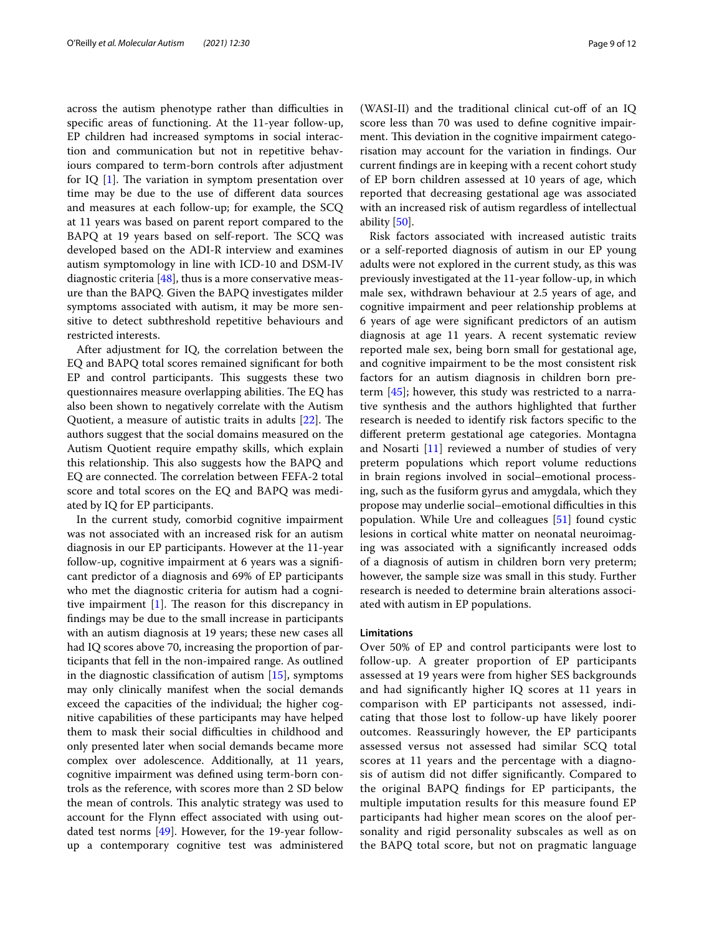across the autism phenotype rather than difficulties in specifc areas of functioning. At the 11-year follow-up, EP children had increased symptoms in social interaction and communication but not in repetitive behaviours compared to term-born controls after adjustment for IQ  $[1]$  $[1]$ . The variation in symptom presentation over time may be due to the use of diferent data sources and measures at each follow-up; for example, the SCQ at 11 years was based on parent report compared to the BAPQ at 19 years based on self-report. The SCQ was developed based on the ADI-R interview and examines autism symptomology in line with ICD-10 and DSM-IV diagnostic criteria  $[48]$  $[48]$ , thus is a more conservative measure than the BAPQ. Given the BAPQ investigates milder symptoms associated with autism, it may be more sensitive to detect subthreshold repetitive behaviours and restricted interests.

After adjustment for IQ, the correlation between the EQ and BAPQ total scores remained signifcant for both EP and control participants. This suggests these two questionnaires measure overlapping abilities. The EQ has also been shown to negatively correlate with the Autism Quotient, a measure of autistic traits in adults  $[22]$  $[22]$  $[22]$ . The authors suggest that the social domains measured on the Autism Quotient require empathy skills, which explain this relationship. This also suggests how the BAPQ and EQ are connected. The correlation between FEFA-2 total score and total scores on the EQ and BAPQ was mediated by IQ for EP participants.

In the current study, comorbid cognitive impairment was not associated with an increased risk for an autism diagnosis in our EP participants. However at the 11-year follow-up, cognitive impairment at 6 years was a signifcant predictor of a diagnosis and 69% of EP participants who met the diagnostic criteria for autism had a cognitive impairment  $[1]$  $[1]$ . The reason for this discrepancy in fndings may be due to the small increase in participants with an autism diagnosis at 19 years; these new cases all had IQ scores above 70, increasing the proportion of participants that fell in the non-impaired range. As outlined in the diagnostic classifcation of autism [[15\]](#page-10-9), symptoms may only clinically manifest when the social demands exceed the capacities of the individual; the higher cognitive capabilities of these participants may have helped them to mask their social difficulties in childhood and only presented later when social demands became more complex over adolescence. Additionally, at 11 years, cognitive impairment was defned using term-born controls as the reference, with scores more than 2 SD below the mean of controls. This analytic strategy was used to account for the Flynn efect associated with using outdated test norms [[49](#page-11-1)]. However, for the 19-year followup a contemporary cognitive test was administered (WASI-II) and the traditional clinical cut-of of an IQ score less than 70 was used to defne cognitive impairment. This deviation in the cognitive impairment categorisation may account for the variation in fndings. Our current fndings are in keeping with a recent cohort study of EP born children assessed at 10 years of age, which reported that decreasing gestational age was associated with an increased risk of autism regardless of intellectual ability [\[50](#page-11-2)].

Risk factors associated with increased autistic traits or a self-reported diagnosis of autism in our EP young adults were not explored in the current study, as this was previously investigated at the 11-year follow-up, in which male sex, withdrawn behaviour at 2.5 years of age, and cognitive impairment and peer relationship problems at 6 years of age were signifcant predictors of an autism diagnosis at age 11 years. A recent systematic review reported male sex, being born small for gestational age, and cognitive impairment to be the most consistent risk factors for an autism diagnosis in children born preterm [[45\]](#page-10-38); however, this study was restricted to a narrative synthesis and the authors highlighted that further research is needed to identify risk factors specifc to the diferent preterm gestational age categories. Montagna and Nosarti [[11\]](#page-10-6) reviewed a number of studies of very preterm populations which report volume reductions in brain regions involved in social–emotional processing, such as the fusiform gyrus and amygdala, which they propose may underlie social–emotional difculties in this population. While Ure and colleagues [[51\]](#page-11-3) found cystic lesions in cortical white matter on neonatal neuroimaging was associated with a signifcantly increased odds of a diagnosis of autism in children born very preterm; however, the sample size was small in this study. Further research is needed to determine brain alterations associated with autism in EP populations.

#### **Limitations**

Over 50% of EP and control participants were lost to follow-up. A greater proportion of EP participants assessed at 19 years were from higher SES backgrounds and had signifcantly higher IQ scores at 11 years in comparison with EP participants not assessed, indicating that those lost to follow-up have likely poorer outcomes. Reassuringly however, the EP participants assessed versus not assessed had similar SCQ total scores at 11 years and the percentage with a diagnosis of autism did not difer signifcantly. Compared to the original BAPQ fndings for EP participants, the multiple imputation results for this measure found EP participants had higher mean scores on the aloof personality and rigid personality subscales as well as on the BAPQ total score, but not on pragmatic language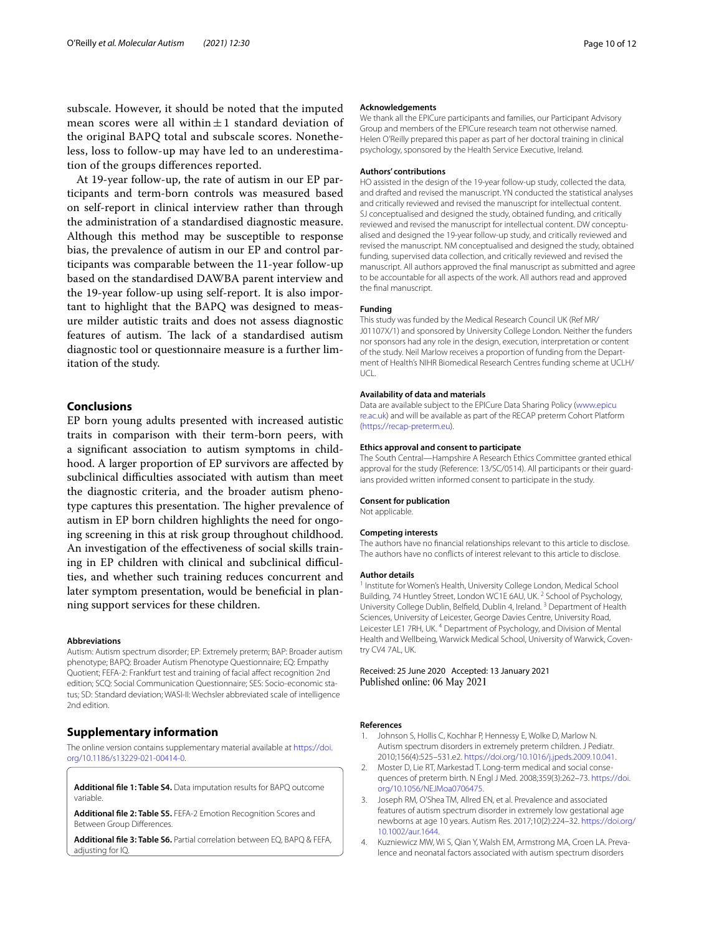subscale. However, it should be noted that the imputed mean scores were all within $\pm 1$  standard deviation of the original BAPQ total and subscale scores. Nonetheless, loss to follow-up may have led to an underestimation of the groups diferences reported.

At 19-year follow-up, the rate of autism in our EP participants and term-born controls was measured based on self-report in clinical interview rather than through the administration of a standardised diagnostic measure. Although this method may be susceptible to response bias, the prevalence of autism in our EP and control participants was comparable between the 11-year follow-up based on the standardised DAWBA parent interview and the 19-year follow-up using self-report. It is also important to highlight that the BAPQ was designed to measure milder autistic traits and does not assess diagnostic features of autism. The lack of a standardised autism diagnostic tool or questionnaire measure is a further limitation of the study.

#### **Conclusions**

EP born young adults presented with increased autistic traits in comparison with their term-born peers, with a signifcant association to autism symptoms in childhood. A larger proportion of EP survivors are afected by subclinical difficulties associated with autism than meet the diagnostic criteria, and the broader autism phenotype captures this presentation. The higher prevalence of autism in EP born children highlights the need for ongoing screening in this at risk group throughout childhood. An investigation of the efectiveness of social skills training in EP children with clinical and subclinical difficulties, and whether such training reduces concurrent and later symptom presentation, would be benefcial in planning support services for these children.

#### **Abbreviations**

Autism: Autism spectrum disorder; EP: Extremely preterm; BAP: Broader autism phenotype; BAPQ: Broader Autism Phenotype Questionnaire; EQ: Empathy Quotient; FEFA-2: Frankfurt test and training of facial afect recognition 2nd edition; SCQ: Social Communication Questionnaire; SES: Socio-economic status; SD: Standard deviation; WASI-II: Wechsler abbreviated scale of intelligence 2nd edition.

#### **Supplementary information**

The online version contains supplementary material available at [https://doi.](https://doi.org/10.1186/s13229-021-00414-0) [org/10.1186/s13229-021-00414-0](https://doi.org/10.1186/s13229-021-00414-0).

<span id="page-9-5"></span><span id="page-9-4"></span>**Additional fle 1: Table S4.** Data imputation results for BAPQ outcome variable.

<span id="page-9-6"></span>**Additional fle 2: Table S5.** FEFA-2 Emotion Recognition Scores and Between Group Diferences.

**Additional fle 3: Table S6.** Partial correlation between EQ, BAPQ & FEFA, adiusting for IO.

#### **Acknowledgements**

We thank all the EPICure participants and families, our Participant Advisory Group and members of the EPICure research team not otherwise named. Helen O'Reilly prepared this paper as part of her doctoral training in clinical psychology, sponsored by the Health Service Executive, Ireland.

#### **Authors' contributions**

HO assisted in the design of the 19-year follow-up study, collected the data, and drafted and revised the manuscript. YN conducted the statistical analyses and critically reviewed and revised the manuscript for intellectual content. SJ conceptualised and designed the study, obtained funding, and critically reviewed and revised the manuscript for intellectual content. DW conceptualised and designed the 19-year follow-up study, and critically reviewed and revised the manuscript. NM conceptualised and designed the study, obtained funding, supervised data collection, and critically reviewed and revised the manuscript. All authors approved the fnal manuscript as submitted and agree to be accountable for all aspects of the work. All authors read and approved the fnal manuscript.

#### **Funding**

This study was funded by the Medical Research Council UK (Ref MR/ J01107X/1) and sponsored by University College London. Neither the funders nor sponsors had any role in the design, execution, interpretation or content of the study. Neil Marlow receives a proportion of funding from the Department of Health's NIHR Biomedical Research Centres funding scheme at UCLH/ UCL.

#### **Availability of data and materials**

Data are available subject to the EPICure Data Sharing Policy ([www.epicu](http://www.epicure.ac.uk) [re.ac.uk\)](http://www.epicure.ac.uk) and will be available as part of the RECAP preterm Cohort Platform (<https://recap-preterm.eu>).

#### **Ethics approval and consent to participate**

The South Central—Hampshire A Research Ethics Committee granted ethical approval for the study (Reference: 13/SC/0514). All participants or their guardians provided written informed consent to participate in the study.

#### **Consent for publication**

Not applicable.

#### **Competing interests**

The authors have no fnancial relationships relevant to this article to disclose. The authors have no conficts of interest relevant to this article to disclose.

#### **Author details**

<sup>1</sup> Institute for Women's Health, University College London, Medical School Building, 74 Huntley Street, London WC1E 6AU, UK.<sup>2</sup> School of Psychology, University College Dublin, Belfeld, Dublin 4, Ireland. 3 Department of Health Sciences, University of Leicester, George Davies Centre, University Road, Leicester LE1 7RH, UK.<sup>4</sup> Department of Psychology, and Division of Mental Health and Wellbeing, Warwick Medical School, University of Warwick, Coventry CV4 7AL, UK.

Received: 25 June 2020 Accepted: 13 January 2021 Published online: 06 May 2021

#### **References**

- <span id="page-9-0"></span>1. Johnson S, Hollis C, Kochhar P, Hennessy E, Wolke D, Marlow N. Autism spectrum disorders in extremely preterm children. J Pediatr. 2010;156(4):525–531.e2. [https://doi.org/10.1016/j.jpeds.2009.10.041.](https://doi.org/10.1016/j.jpeds.2009.10.041)
- <span id="page-9-1"></span>2. Moster D, Lie RT, Markestad T. Long-term medical and social consequences of preterm birth. N Engl J Med. 2008;359(3):262–73. [https://doi.](https://doi.org/10.1056/NEJMoa0706475) [org/10.1056/NEJMoa0706475](https://doi.org/10.1056/NEJMoa0706475).
- <span id="page-9-2"></span>3. Joseph RM, O'Shea TM, Allred EN, et al. Prevalence and associated features of autism spectrum disorder in extremely low gestational age newborns at age 10 years. Autism Res. 2017;10(2):224–32. [https://doi.org/](https://doi.org/10.1002/aur.1644) [10.1002/aur.1644.](https://doi.org/10.1002/aur.1644)
- <span id="page-9-3"></span>4. Kuzniewicz MW, Wi S, Qian Y, Walsh EM, Armstrong MA, Croen LA. Prevalence and neonatal factors associated with autism spectrum disorders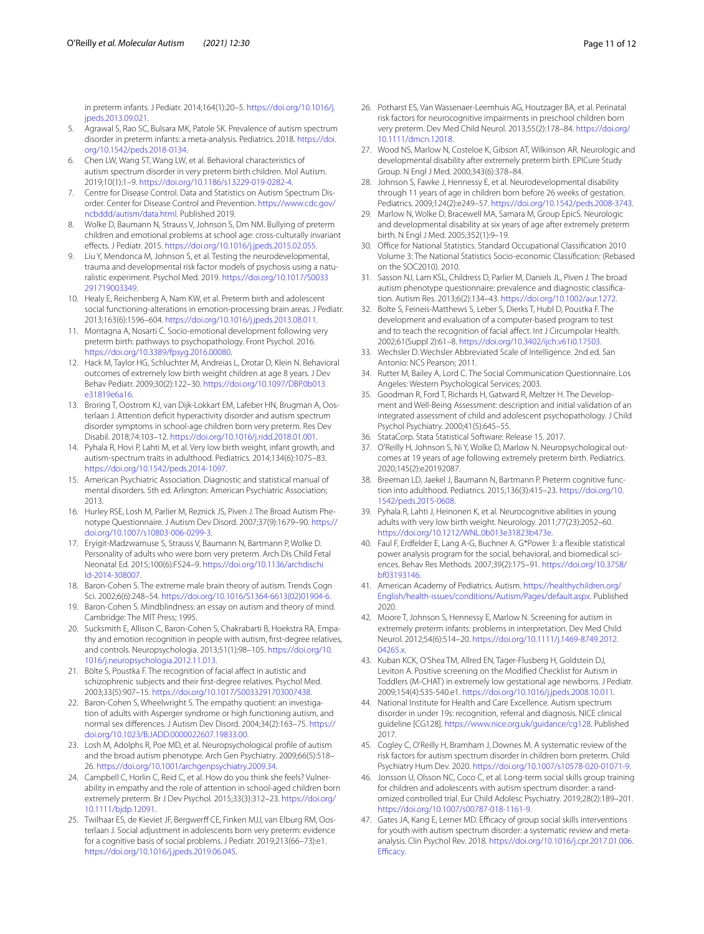in preterm infants. J Pediatr. 2014;164(1):20–5. [https://doi.org/10.1016/j.](https://doi.org/10.1016/j.jpeds.2013.09.021) ipeds.2013.09.021

- <span id="page-10-0"></span>5. Agrawal S, Rao SC, Bulsara MK, Patole SK. Prevalence of autism spectrum disorder in preterm infants: a meta-analysis. Pediatrics. 2018. [https://doi.](https://doi.org/10.1542/peds.2018-0134) [org/10.1542/peds.2018-0134.](https://doi.org/10.1542/peds.2018-0134)
- <span id="page-10-1"></span>6. Chen LW, Wang ST, Wang LW, et al. Behavioral characteristics of autism spectrum disorder in very preterm birth children. Mol Autism. 2019;10(1):1–9. [https://doi.org/10.1186/s13229-019-0282-4.](https://doi.org/10.1186/s13229-019-0282-4)
- <span id="page-10-2"></span>7. Centre for Disease Control. Data and Statistics on Autism Spectrum Disorder. Center for Disease Control and Prevention. [https://www.cdc.gov/](https://www.cdc.gov/ncbddd/autism/data.html) [ncbddd/autism/data.html](https://www.cdc.gov/ncbddd/autism/data.html). Published 2019.
- <span id="page-10-3"></span>8. Wolke D, Baumann N, Strauss V, Johnson S, Dm NM. Bullying of preterm children and emotional problems at school age: cross-culturally invariant efects. J Pediatr. 2015. <https://doi.org/10.1016/j.jpeds.2015.02.055>.
- <span id="page-10-4"></span>9. Liu Y, Mendonca M, Johnson S, et al. Testing the neurodevelopmental, trauma and developmental risk factor models of psychosis using a naturalistic experiment. Psychol Med. 2019. [https://doi.org/10.1017/S0033](https://doi.org/10.1017/S0033291719003349) [291719003349.](https://doi.org/10.1017/S0033291719003349)
- <span id="page-10-5"></span>10. Healy E, Reichenberg A, Nam KW, et al. Preterm birth and adolescent social functioning-alterations in emotion-processing brain areas. J Pediatr. 2013;163(6):1596–604. [https://doi.org/10.1016/j.jpeds.2013.08.011.](https://doi.org/10.1016/j.jpeds.2013.08.011)
- <span id="page-10-6"></span>11. Montagna A, Nosarti C. Socio-emotional development following very preterm birth: pathways to psychopathology. Front Psychol. 2016. <https://doi.org/10.3389/fpsyg.2016.00080>.
- <span id="page-10-7"></span>12. Hack M, Taylor HG, Schluchter M, Andreias L, Drotar D, Klein N. Behavioral outcomes of extremely low birth weight children at age 8 years. J Dev Behav Pediatr. 2009;30(2):122–30. [https://doi.org/10.1097/DBP.0b013](https://doi.org/10.1097/DBP.0b013e31819e6a16) [e31819e6a16.](https://doi.org/10.1097/DBP.0b013e31819e6a16)
- 13. Broring T, Oostrom KJ, van Dijk-Lokkart EM, Lafeber HN, Brugman A, Oosterlaan J. Attention defcit hyperactivity disorder and autism spectrum disorder symptoms in school-age children born very preterm. Res Dev Disabil. 2018;74:103–12.<https://doi.org/10.1016/j.ridd.2018.01.001>.
- <span id="page-10-8"></span>14. Pyhala R, Hovi P, Lahti M, et al. Very low birth weight, infant growth, and autism-spectrum traits in adulthood. Pediatrics. 2014;134(6):1075–83. [https://doi.org/10.1542/peds.2014-1097.](https://doi.org/10.1542/peds.2014-1097)
- <span id="page-10-9"></span>15. American Psychiatric Association. Diagnostic and statistical manual of mental disorders. 5th ed. Arlington: American Psychiatric Association; 2013.
- <span id="page-10-10"></span>16. Hurley RSE, Losh M, Parlier M, Reznick JS, Piven J. The Broad Autism Phenotype Questionnaire. J Autism Dev Disord. 2007;37(9):1679–90. [https://](https://doi.org/10.1007/s10803-006-0299-3) [doi.org/10.1007/s10803-006-0299-3](https://doi.org/10.1007/s10803-006-0299-3).
- <span id="page-10-11"></span>17. Eryigit-Madzwamuse S, Strauss V, Baumann N, Bartmann P, Wolke D. Personality of adults who were born very preterm. Arch Dis Child Fetal Neonatal Ed. 2015;100(6):F524–9. [https://doi.org/10.1136/archdischi](https://doi.org/10.1136/archdischild-2014-308007) [ld-2014-308007](https://doi.org/10.1136/archdischild-2014-308007).
- <span id="page-10-12"></span>18. Baron-Cohen S. The extreme male brain theory of autism. Trends Cogn Sci. 2002;6(6):248–54. [https://doi.org/10.1016/S1364-6613\(02\)01904-6.](https://doi.org/10.1016/S1364-6613(02)01904-6)
- <span id="page-10-13"></span>19. Baron-Cohen S. Mindblindness: an essay on autism and theory of mind. Cambridge: The MIT Press; 1995.
- <span id="page-10-14"></span>20. Sucksmith E, Allison C, Baron-Cohen S, Chakrabarti B, Hoekstra RA. Empathy and emotion recognition in people with autism, frst-degree relatives, and controls. Neuropsychologia. 2013;51(1):98–105. [https://doi.org/10.](https://doi.org/10.1016/j.neuropsychologia.2012.11.013) [1016/j.neuropsychologia.2012.11.013.](https://doi.org/10.1016/j.neuropsychologia.2012.11.013)
- <span id="page-10-15"></span>21. Bölte S, Poustka F. The recognition of facial afect in autistic and schizophrenic subjects and their frst-degree relatives. Psychol Med. 2003;33(5):907–15. [https://doi.org/10.1017/S0033291703007438.](https://doi.org/10.1017/S0033291703007438)
- <span id="page-10-16"></span>22. Baron-Cohen S, Wheelwright S. The empathy quotient: an investigation of adults with Asperger syndrome or high functioning autism, and normal sex diferences. J Autism Dev Disord. 2004;34(2):163–75. [https://](https://doi.org/10.1023/B:JADD.0000022607.19833.00) [doi.org/10.1023/B:JADD.0000022607.19833.00](https://doi.org/10.1023/B:JADD.0000022607.19833.00).
- <span id="page-10-17"></span>23. Losh M, Adolphs R, Poe MD, et al. Neuropsychological profle of autism and the broad autism phenotype. Arch Gen Psychiatry. 2009;66(5):518– 26. <https://doi.org/10.1001/archgenpsychiatry.2009.34>.
- <span id="page-10-18"></span>24. Campbell C, Horlin C, Reid C, et al. How do you think she feels? Vulnerability in empathy and the role of attention in school-aged children born extremely preterm. Br J Dev Psychol. 2015;33(3):312–23. [https://doi.org/](https://doi.org/10.1111/bjdp.12091) [10.1111/bjdp.12091](https://doi.org/10.1111/bjdp.12091).
- <span id="page-10-19"></span>25. Twilhaar ES, de Kieviet JF, Bergwerf CE, Finken MJJ, van Elburg RM, Oosterlaan J. Social adjustment in adolescents born very preterm: evidence for a cognitive basis of social problems. J Pediatr. 2019;213(66–73):e1. <https://doi.org/10.1016/j.jpeds.2019.06.045>.
- <span id="page-10-20"></span>26. Potharst ES, Van Wassenaer-Leemhuis AG, Houtzager BA, et al. Perinatal risk factors for neurocognitive impairments in preschool children born very preterm. Dev Med Child Neurol. 2013;55(2):178–84. [https://doi.org/](https://doi.org/10.1111/dmcn.12018) [10.1111/dmcn.12018.](https://doi.org/10.1111/dmcn.12018)
- <span id="page-10-21"></span>27. Wood NS, Marlow N, Costeloe K, Gibson AT, Wilkinson AR. Neurologic and developmental disability after extremely preterm birth. EPICure Study Group. N Engl J Med. 2000;343(6):378–84.
- <span id="page-10-23"></span>28. Johnson S, Fawke J, Hennessy E, et al. Neurodevelopmental disability through 11 years of age in children born before 26 weeks of gestation. Pediatrics. 2009;124(2):e249–57. [https://doi.org/10.1542/peds.2008-3743.](https://doi.org/10.1542/peds.2008-3743)
- <span id="page-10-22"></span>29. Marlow N, Wolke D, Bracewell MA, Samara M, Group EpicS. Neurologic and developmental disability at six years of age after extremely preterm birth. N Engl J Med. 2005;352(1):9–19.
- <span id="page-10-24"></span>30. Office for National Statistics. Standard Occupational Classification 2010 Volume 3: The National Statistics Socio-economic Classifcation: (Rebased on the SOC2010). 2010.
- <span id="page-10-25"></span>31. Sasson NJ, Lam KSL, Childress D, Parlier M, Daniels JL, Piven J. The broad autism phenotype questionnaire: prevalence and diagnostic classifcation. Autism Res. 2013;6(2):134–43. <https://doi.org/10.1002/aur.1272>.
- <span id="page-10-26"></span>32. Bolte S, Feineis-Matthews S, Leber S, Dierks T, Hubl D, Poustka F. The development and evaluation of a computer-based program to test and to teach the recognition of facial affect. Int J Circumpolar Health. 2002;61(Suppl 2):61–8. [https://doi.org/10.3402/ijch.v61i0.17503.](https://doi.org/10.3402/ijch.v61i0.17503)
- <span id="page-10-27"></span>33. Wechsler D. Wechsler Abbreviated Scale of Intelligence. 2nd ed. San Antonio: NCS Pearson; 2011.
- <span id="page-10-28"></span>34. Rutter M, Bailey A, Lord C. The Social Communication Questionnaire. Los Angeles: Western Psychological Services; 2003.
- <span id="page-10-29"></span>35. Goodman R, Ford T, Richards H, Gatward R, Meltzer H. The Development and Well-Being Assessment: description and initial validation of an integrated assessment of child and adolescent psychopathology. J Child Psychol Psychiatry. 2000;41(5):645–55.
- <span id="page-10-30"></span>36. StataCorp. Stata Statistical Software: Release 15. 2017.
- <span id="page-10-31"></span>37. O'Reilly H, Johnson S, Ni Y, Wolke D, Marlow N. Neuropsychological outcomes at 19 years of age following extremely preterm birth. Pediatrics. 2020;145(2):e20192087.
- 38. Breeman LD, Jaekel J, Baumann N, Bartmann P. Preterm cognitive function into adulthood. Pediatrics. 2015;136(3):415–23. [https://doi.org/10.](https://doi.org/10.1542/peds.2015-0608) [1542/peds.2015-0608](https://doi.org/10.1542/peds.2015-0608).
- <span id="page-10-32"></span>39. Pyhala R, Lahti J, Heinonen K, et al. Neurocognitive abilities in young adults with very low birth weight. Neurology. 2011;77(23):2052–60. [https://doi.org/10.1212/WNL.0b013e31823b473e.](https://doi.org/10.1212/WNL.0b013e31823b473e)
- <span id="page-10-33"></span>40. Faul F, Erdfelder E, Lang A-G, Buchner A. G\*Power 3: a fexible statistical power analysis program for the social, behavioral, and biomedical sciences. Behav Res Methods. 2007;39(2):175–91. [https://doi.org/10.3758/](https://doi.org/10.3758/bf03193146) [bf03193146](https://doi.org/10.3758/bf03193146).
- <span id="page-10-34"></span>41. American Academy of Pediatrics. Autism. [https://healthychildren.org/](https://healthychildren.org/English/health-issues/conditions/Autism/Pages/default.aspx) [English/health-issues/conditions/Autism/Pages/default.aspx](https://healthychildren.org/English/health-issues/conditions/Autism/Pages/default.aspx). Published 2020.
- <span id="page-10-35"></span>42. Moore T, Johnson S, Hennessy E, Marlow N. Screening for autism in extremely preterm infants: problems in interpretation. Dev Med Child Neurol. 2012;54(6):514–20. [https://doi.org/10.1111/j.1469-8749.2012.](https://doi.org/10.1111/j.1469-8749.2012.04265.x) 04265.x
- <span id="page-10-36"></span>43. Kuban KCK, O'Shea TM, Allred EN, Tager-Flusberg H, Goldstein DJ, Leviton A. Positive screening on the Modifed Checklist for Autism in Toddlers (M-CHAT) in extremely low gestational age newborns. J Pediatr. 2009;154(4):535-540.e1.<https://doi.org/10.1016/j.jpeds.2008.10.011>.
- <span id="page-10-37"></span>44. National Institute for Health and Care Excellence. Autism spectrum disorder in under 19s: recognition, referral and diagnosis. NICE clinical guideline [CG128]. [https://www.nice.org.uk/guidance/cg128.](https://www.nice.org.uk/guidance/cg128) Published 2017.
- <span id="page-10-38"></span>45. Cogley C, O'Reilly H, Bramham J, Downes M. A systematic review of the risk factors for autism spectrum disorder in children born preterm. Child Psychiatry Hum Dev. 2020. [https://doi.org/10.1007/s10578-020-01071-9.](https://doi.org/10.1007/s10578-020-01071-9)
- <span id="page-10-39"></span>46. Jonsson U, Olsson NC, Coco C, et al. Long-term social skills group training for children and adolescents with autism spectrum disorder: a randomized controlled trial. Eur Child Adolesc Psychiatry. 2019;28(2):189–201. [https://doi.org/10.1007/s00787-018-1161-9.](https://doi.org/10.1007/s00787-018-1161-9)
- <span id="page-10-40"></span>47. Gates JA, Kang E, Lerner MD. Efficacy of group social skills interventions for youth with autism spectrum disorder: a systematic review and metaanalysis. Clin Psychol Rev. 2018. [https://doi.org/10.1016/j.cpr.2017.01.006.](https://doi.org/10.1016/j.cpr.2017.01.006.Efficacy) Efficacy.